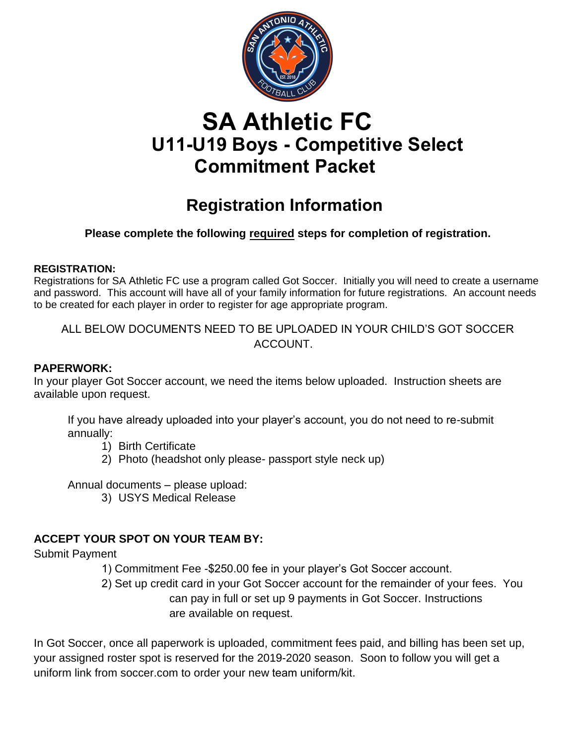

# **SA Athletic FC U11-U19 Boys - Competitive Select Commitment Packet**

## **Registration Information**

## **Please complete the following required steps for completion of registration.**

### **REGISTRATION:**

Registrations for SA Athletic FC use a program called Got Soccer. Initially you will need to create a username and password. This account will have all of your family information for future registrations. An account needs to be created for each player in order to register for age appropriate program.

ALL BELOW DOCUMENTS NEED TO BE UPLOADED IN YOUR CHILD'S GOT SOCCER ACCOUNT.

## **PAPERWORK:**

In your player Got Soccer account, we need the items below uploaded. Instruction sheets are available upon request.

If you have already uploaded into your player's account, you do not need to re-submit annually:

- 1) Birth Certificate
- 2) Photo (headshot only please- passport style neck up)

Annual documents – please upload:

3) USYS Medical Release

## **ACCEPT YOUR SPOT ON YOUR TEAM BY:**

Submit Payment

- 1) Commitment Fee -\$250.00 fee in your player's Got Soccer account.
- 2) Set up credit card in your Got Soccer account for the remainder of your fees. You can pay in full or set up 9 payments in Got Soccer. Instructions are available on request.

In Got Soccer, once all paperwork is uploaded, commitment fees paid, and billing has been set up, your assigned roster spot is reserved for the 2019-2020 season. Soon to follow you will get a uniform link from soccer.com to order your new team uniform/kit.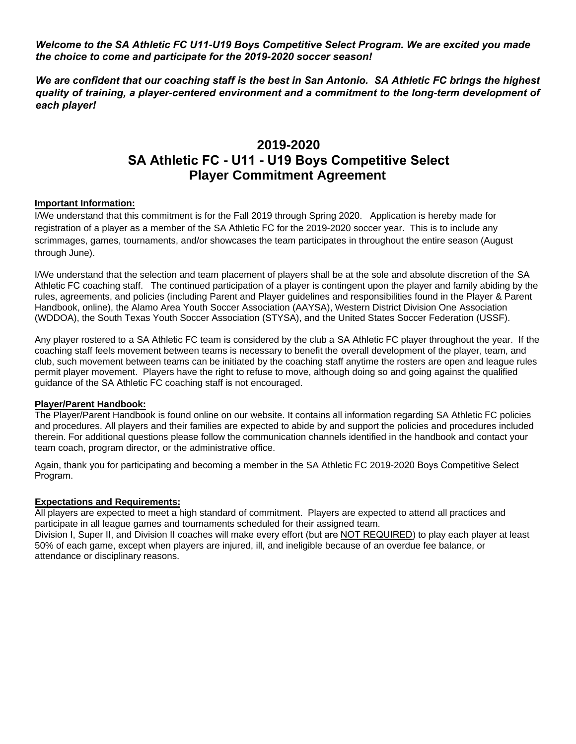*Welcome to the SA Athletic FC U11-U19 Boys Competitive Select Program. We are excited you made the choice to come and participate for the 2019-2020 soccer season!*

*We are confident that our coaching staff is the best in San Antonio. SA Athletic FC brings the highest quality of training, a player-centered environment and a commitment to the long-term development of each player!* 

## **2019-2020 SA Athletic FC - U11 - U19 Boys Competitive Select Player Commitment Agreement**

#### **Important Information:**

I/We understand that this commitment is for the Fall 2019 through Spring 2020. Application is hereby made for registration of a player as a member of the SA Athletic FC for the 2019-2020 soccer year. This is to include any scrimmages, games, tournaments, and/or showcases the team participates in throughout the entire season (August through June).

I/We understand that the selection and team placement of players shall be at the sole and absolute discretion of the SA Athletic FC coaching staff. The continued participation of a player is contingent upon the player and family abiding by the rules, agreements, and policies (including Parent and Player guidelines and responsibilities found in the Player & Parent Handbook, online), the Alamo Area Youth Soccer Association (AAYSA), Western District Division One Association (WDDOA), the South Texas Youth Soccer Association (STYSA), and the United States Soccer Federation (USSF).

Any player rostered to a SA Athletic FC team is considered by the club a SA Athletic FC player throughout the year. If the coaching staff feels movement between teams is necessary to benefit the overall development of the player, team, and club, such movement between teams can be initiated by the coaching staff anytime the rosters are open and league rules permit player movement. Players have the right to refuse to move, although doing so and going against the qualified guidance of the SA Athletic FC coaching staff is not encouraged.

#### **Player/Parent Handbook:**

The Player/Parent Handbook is found online on our website. It contains all information regarding SA Athletic FC policies and procedures. All players and their families are expected to abide by and support the policies and procedures included therein. For additional questions please follow the communication channels identified in the handbook and contact your team coach, program director, or the administrative office.

Again, thank you for participating and becoming a member in the SA Athletic FC 2019-2020 Boys Competitive Select Program.

#### **Expectations and Requirements:**

All players are expected to meet a high standard of commitment. Players are expected to attend all practices and participate in all league games and tournaments scheduled for their assigned team.

Division I, Super II, and Division II coaches will make every effort (but are NOT REQUIRED) to play each player at least 50% of each game, except when players are injured, ill, and ineligible because of an overdue fee balance, or attendance or disciplinary reasons.